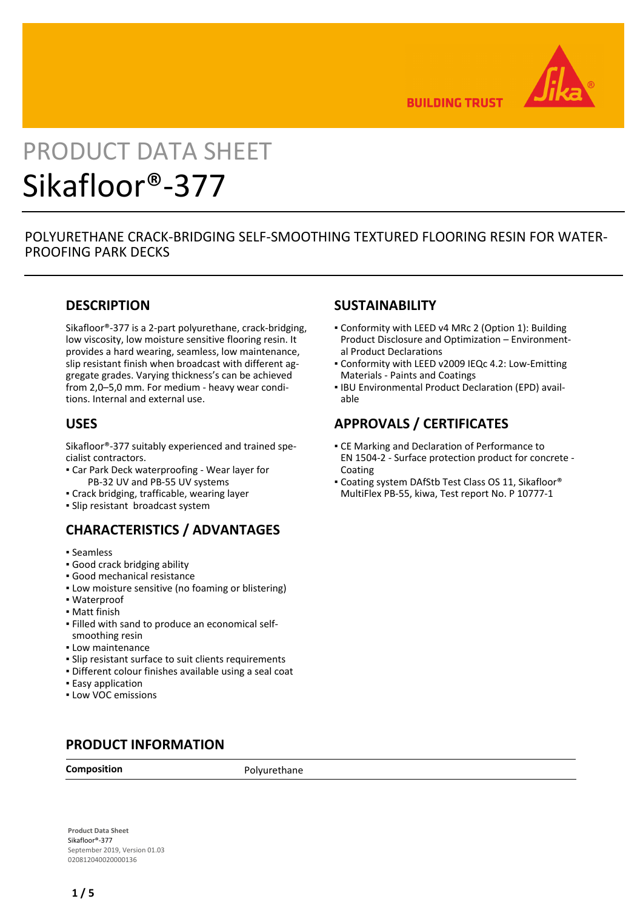

**BUILDING TRUST** 

# PRODUCT DATA SHEET Sikafloor®-377

# POLYURETHANE CRACK-BRIDGING SELF-SMOOTHING TEXTURED FLOORING RESIN FOR WATER-PROOFING PARK DECKS

# **DESCRIPTION**

Sikafloor®-377 is a 2-part polyurethane, crack-bridging, low viscosity, low moisture sensitive flooring resin. It provides a hard wearing, seamless, low maintenance, slip resistant finish when broadcast with different aggregate grades. Varying thickness's can be achieved from 2,0–5,0 mm. For medium - heavy wear conditions. Internal and external use.

## **USES**

Sikafloor®-377 suitably experienced and trained specialist contractors.

- Car Park Deck waterproofing Wear layer for PB-32 UV and PB-55 UV systems
- Crack bridging, trafficable, wearing layer
- Slip resistant broadcast system

# **CHARACTERISTICS / ADVANTAGES**

- Seamless
- Good crack bridging ability
- Good mechanical resistance
- **.** Low moisture sensitive (no foaming or blistering)
- Waterproof
- Matt finish
- Filled with sand to produce an economical self-▪ smoothing resin
- **.** Low maintenance
- Slip resistant surface to suit clients requirements
- Different colour finishes available using a seal coat
- **Easy application**
- Low VOC emissions

# **PRODUCT INFORMATION**

**Composition** Polyurethane

# **Product Data Sheet** Sikafloor®-377

September 2019, Version 01.03 020812040020000136

# **SUSTAINABILITY**

- Conformity with LEED v4 MRc 2 (Option 1): Building Product Disclosure and Optimization – Environmental Product Declarations
- Conformity with LEED v2009 IEQc 4.2: Low-Emitting Materials - Paints and Coatings
- **IBU Environmental Product Declaration (EPD) avail**able

# **APPROVALS / CERTIFICATES**

- **CE Marking and Declaration of Performance to** EN 1504-2 - Surface protection product for concrete - Coating
- Coating system DAfStb Test Class OS 11, Sikafloor® MultiFlex PB-55, kiwa, Test report No. P 10777-1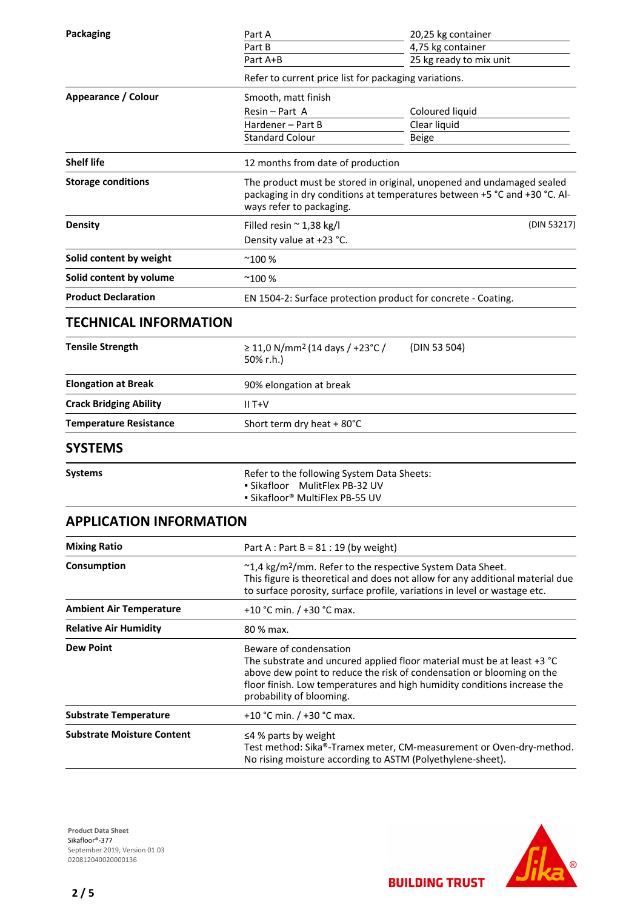| <b>Packaging</b>                  | Part A<br>Part B                                                                                                                                                                                                                     | 20,25 kg container<br>4,75 kg container                                                                                                            |  |
|-----------------------------------|--------------------------------------------------------------------------------------------------------------------------------------------------------------------------------------------------------------------------------------|----------------------------------------------------------------------------------------------------------------------------------------------------|--|
|                                   | Part A+B                                                                                                                                                                                                                             | 25 kg ready to mix unit                                                                                                                            |  |
|                                   | Refer to current price list for packaging variations.                                                                                                                                                                                |                                                                                                                                                    |  |
| Appearance / Colour               | Smooth, matt finish                                                                                                                                                                                                                  |                                                                                                                                                    |  |
|                                   | Resin - Part A                                                                                                                                                                                                                       | Coloured liquid                                                                                                                                    |  |
|                                   | Hardener - Part B                                                                                                                                                                                                                    | Clear liquid                                                                                                                                       |  |
|                                   | <b>Standard Colour</b>                                                                                                                                                                                                               | Beige                                                                                                                                              |  |
| <b>Shelf life</b>                 | 12 months from date of production                                                                                                                                                                                                    |                                                                                                                                                    |  |
| <b>Storage conditions</b>         | ways refer to packaging.                                                                                                                                                                                                             | The product must be stored in original, unopened and undamaged sealed<br>packaging in dry conditions at temperatures between +5 °C and +30 °C. Al- |  |
| <b>Density</b>                    | Filled resin $\approx$ 1,38 kg/l<br>Density value at +23 °C.                                                                                                                                                                         | (DIN 53217)                                                                                                                                        |  |
| Solid content by weight           | $^{\sim}100%$                                                                                                                                                                                                                        |                                                                                                                                                    |  |
| Solid content by volume           | $^{\sim}$ 100 %                                                                                                                                                                                                                      |                                                                                                                                                    |  |
| <b>Product Declaration</b>        | EN 1504-2: Surface protection product for concrete - Coating.                                                                                                                                                                        |                                                                                                                                                    |  |
| <b>TECHNICAL INFORMATION</b>      |                                                                                                                                                                                                                                      |                                                                                                                                                    |  |
| <b>Tensile Strength</b>           | $\geq$ 11,0 N/mm <sup>2</sup> (14 days / +23°C /<br>50% r.h.)                                                                                                                                                                        | (DIN 53 504)                                                                                                                                       |  |
| <b>Elongation at Break</b>        | 90% elongation at break                                                                                                                                                                                                              |                                                                                                                                                    |  |
| <b>Crack Bridging Ability</b>     | $II T+V$                                                                                                                                                                                                                             |                                                                                                                                                    |  |
| <b>Temperature Resistance</b>     | Short term dry heat + 80°C                                                                                                                                                                                                           |                                                                                                                                                    |  |
| <b>SYSTEMS</b>                    |                                                                                                                                                                                                                                      |                                                                                                                                                    |  |
| <b>Systems</b>                    | Refer to the following System Data Sheets:<br>MulitFlex PB-32 UV<br>• Sikafloor<br>· Sikafloor® MultiFlex PB-55 UV                                                                                                                   |                                                                                                                                                    |  |
| <b>APPLICATION INFORMATION</b>    |                                                                                                                                                                                                                                      |                                                                                                                                                    |  |
| <b>Mixing Ratio</b>               | Part A : Part B = $81:19$ (by weight)                                                                                                                                                                                                |                                                                                                                                                    |  |
| Consumption                       | ~1,4 kg/m <sup>2</sup> /mm. Refer to the respective System Data Sheet.<br>This figure is theoretical and does not allow for any additional material due<br>to surface porosity, surface profile, variations in level or wastage etc. |                                                                                                                                                    |  |
| <b>Ambient Air Temperature</b>    | +10 °C min. / +30 °C max.                                                                                                                                                                                                            |                                                                                                                                                    |  |
| <b>Relative Air Humidity</b>      | 80 % max.                                                                                                                                                                                                                            |                                                                                                                                                    |  |
| <b>Dew Point</b>                  | Beware of condensation<br>The substrate and uncured applied floor material must be at least +3 °C<br>above dew point to reduce the risk of condensation or blooming on the<br>probability of blooming.                               | floor finish. Low temperatures and high humidity conditions increase the                                                                           |  |
| <b>Substrate Temperature</b>      | +10 °C min. / +30 °C max.                                                                                                                                                                                                            |                                                                                                                                                    |  |
| <b>Substrate Moisture Content</b> | $\leq$ 4% parts by weight                                                                                                                                                                                                            |                                                                                                                                                    |  |

**Product Data Sheet** Sikafloor®-377 September 2019, Version 01.03 020812040020000136



Test method: Sika®-Tramex meter, CM-measurement or Oven-dry-method.

No rising moisture according to ASTM (Polyethylene-sheet).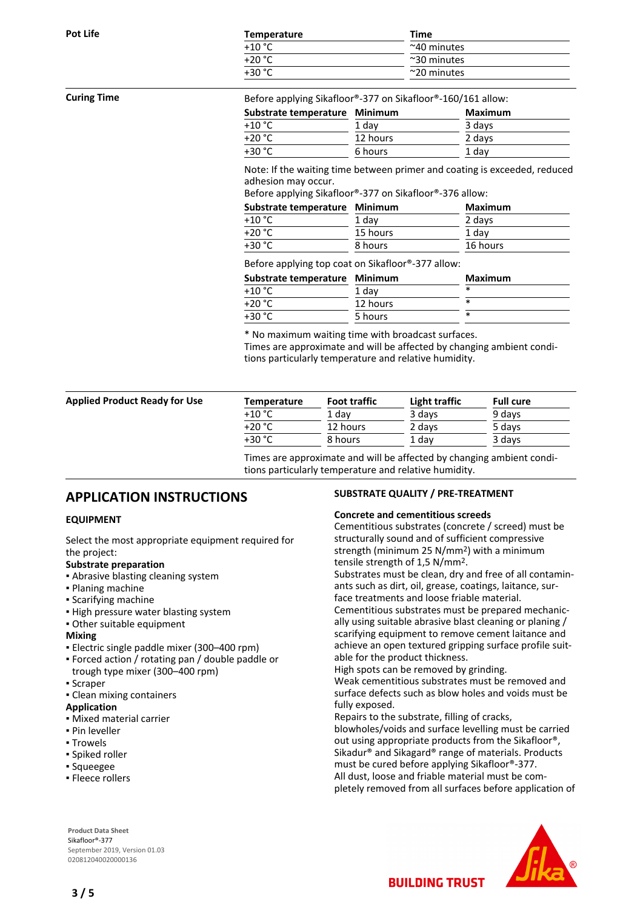| Pot Life | Temperature | Time                 |
|----------|-------------|----------------------|
|          | $+10$ °C    | $~\sim$ 40 minutes   |
|          | $+20 °C$    | $\approx$ 30 minutes |
|          | $+30 °C$    | $\approx$ 20 minutes |
|          |             |                      |

#### **Curing Time** Before applying Sikafloor®-377 on Sikafloor®-160/161 allow:

| Substrate temperature Minimum |          | Maximum |
|-------------------------------|----------|---------|
| +10 °C                        | 1 day    | 3 days  |
| +20 °C.                       | 12 hours | 2 days  |
| +30 °C                        | 6 hours  | 1 day   |

Note: If the waiting time between primer and coating is exceeded, reduced adhesion may occur.

Before applying Sikafloor®-377 on Sikafloor®-376 allow:

| Substrate temperature Minimum |          | <b>Maximum</b> |
|-------------------------------|----------|----------------|
| $+10 °C$                      | 1 day    | 2 days         |
| +20 °C                        | 15 hours | 1 day          |
| +30 °C                        | 8 hours  | 16 hours       |

### Before applying top coat on Sikafloor®-377 allow:

| Substrate temperature Minimum | Maximum |
|-------------------------------|---------|
| 1 dav                         |         |
| 12 hours                      | $\ast$  |
| 5 hours                       |         |
|                               |         |

\* No maximum waiting time with broadcast surfaces.

Times are approximate and will be affected by changing ambient conditions particularly temperature and relative humidity.

| <b>Applied Product Ready for Use</b> | Temperature | <b>Foot traffic</b> | Light traffic | <b>Full cure</b> |
|--------------------------------------|-------------|---------------------|---------------|------------------|
|                                      | $+10 °C$    | 1 dav               | 3 days        | 9 days           |
|                                      | $+20 °C$    | 12 hours            | 2 days        | 5 days           |
|                                      | +30 °C      | 8 hours             | 1 dav         | 3 days           |

Times are approximate and will be affected by changing ambient conditions particularly temperature and relative humidity.

# **APPLICATION INSTRUCTIONS**

#### **EQUIPMENT**

Select the most appropriate equipment required for the project:

#### **Substrate preparation**

- **.** Abrasive blasting cleaning system
- Planing machine
- Scarifying machine
- **.** High pressure water blasting system
- Other suitable equipment

#### **Mixing**

- Electric single paddle mixer (300–400 rpm)
- Forced action / rotating pan / double paddle or trough type mixer (300–400 rpm)
- Scraper
- Clean mixing containers
- **Application**
- Mixed material carrier
- Pin leveller
- Trowels
- **·** Spiked roller
- Squeegee
- **· Fleece rollers**

**Product Data Sheet** Sikafloor®-377 September 2019, Version 01.03 020812040020000136

#### **SUBSTRATE QUALITY / PRE-TREATMENT**

#### **Concrete and cementitious screeds**

Cementitious substrates (concrete / screed) must be structurally sound and of sufficient compressive strength (minimum 25 N/mm2) with a minimum tensile strength of 1,5 N/mm2.

Substrates must be clean, dry and free of all contaminants such as dirt, oil, grease, coatings, laitance, surface treatments and loose friable material.

Cementitious substrates must be prepared mechanically using suitable abrasive blast cleaning or planing / scarifying equipment to remove cement laitance and achieve an open textured gripping surface profile suitable for the product thickness.

High spots can be removed by grinding.

Weak cementitious substrates must be removed and surface defects such as blow holes and voids must be fully exposed.

Repairs to the substrate, filling of cracks,

blowholes/voids and surface levelling must be carried out using appropriate products from the Sikafloor®, Sikadur® and Sikagard® range of materials. Products must be cured before applying Sikafloor®-377. All dust, loose and friable material must be completely removed from all surfaces before application of

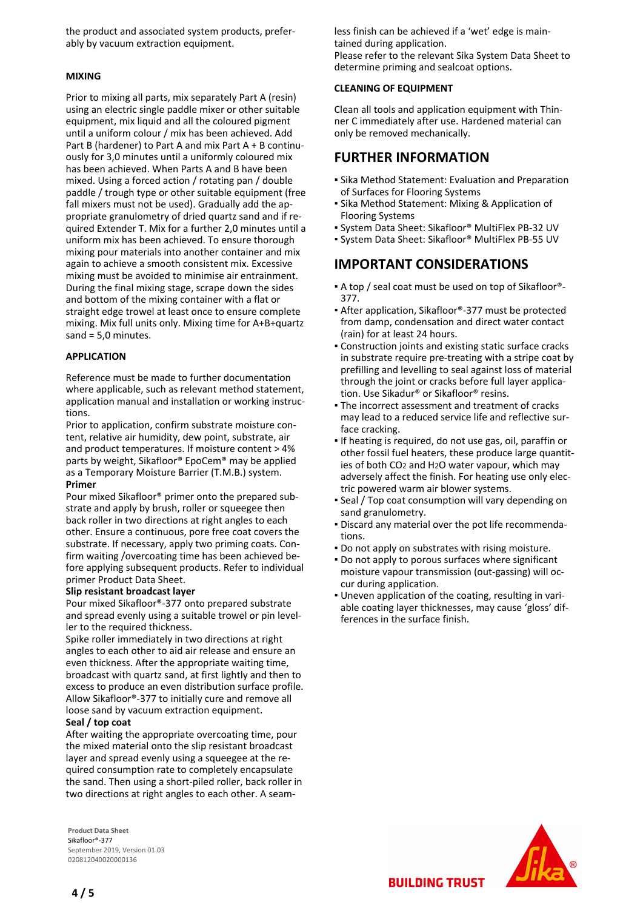the product and associated system products, preferably by vacuum extraction equipment.

#### **MIXING**

Prior to mixing all parts, mix separately Part A (resin) using an electric single paddle mixer or other suitable equipment, mix liquid and all the coloured pigment until a uniform colour / mix has been achieved. Add Part B (hardener) to Part A and mix Part A + B continuously for 3,0 minutes until a uniformly coloured mix has been achieved. When Parts A and B have been mixed. Using a forced action / rotating pan / double paddle / trough type or other suitable equipment (free fall mixers must not be used). Gradually add the appropriate granulometry of dried quartz sand and if required Extender T. Mix for a further 2,0 minutes until a uniform mix has been achieved. To ensure thorough mixing pour materials into another container and mix again to achieve a smooth consistent mix. Excessive mixing must be avoided to minimise air entrainment. During the final mixing stage, scrape down the sides and bottom of the mixing container with a flat or straight edge trowel at least once to ensure complete mixing. Mix full units only. Mixing time for A+B+quartz sand = 5,0 minutes.

#### **APPLICATION**

Reference must be made to further documentation where applicable, such as relevant method statement, application manual and installation or working instructions.

Prior to application, confirm substrate moisture content, relative air humidity, dew point, substrate, air and product temperatures. If moisture content > 4% parts by weight, Sikafloor® EpoCem® may be applied as a Temporary Moisture Barrier (T.M.B.) system. **Primer**

Pour mixed Sikafloor® primer onto the prepared substrate and apply by brush, roller or squeegee then back roller in two directions at right angles to each other. Ensure a continuous, pore free coat covers the substrate. If necessary, apply two priming coats. Confirm waiting /overcoating time has been achieved before applying subsequent products. Refer to individual primer Product Data Sheet.

#### **Slip resistant broadcast layer**

Pour mixed Sikafloor®-377 onto prepared substrate and spread evenly using a suitable trowel or pin leveller to the required thickness.

Spike roller immediately in two directions at right angles to each other to aid air release and ensure an even thickness. After the appropriate waiting time, broadcast with quartz sand, at first lightly and then to excess to produce an even distribution surface profile. Allow Sikafloor®-377 to initially cure and remove all loose sand by vacuum extraction equipment.

#### **Seal / top coat**

After waiting the appropriate overcoating time, pour the mixed material onto the slip resistant broadcast layer and spread evenly using a squeegee at the required consumption rate to completely encapsulate the sand. Then using a short-piled roller, back roller in two directions at right angles to each other. A seam-

**Product Data Sheet** Sikafloor®-377 September 2019, Version 01.03 020812040020000136

less finish can be achieved if a 'wet' edge is maintained during application. Please refer to the relevant Sika System Data Sheet to determine priming and sealcoat options.

### **CLEANING OF EQUIPMENT**

Clean all tools and application equipment with Thinner C immediately after use. Hardened material can only be removed mechanically.

# **FURTHER INFORMATION**

- **Sika Method Statement: Evaluation and Preparation** of Surfaces for Flooring Systems
- Sika Method Statement: Mixing & Application of Flooring Systems
- System Data Sheet: Sikafloor® MultiFlex PB-32 UV
- System Data Sheet: Sikafloor® MultiFlex PB-55 UV

# **IMPORTANT CONSIDERATIONS**

- A top / seal coat must be used on top of Sikafloor®- 377.
- After application, Sikafloor®-377 must be protected from damp, condensation and direct water contact (rain) for at least 24 hours.
- Construction joints and existing static surface cracks in substrate require pre-treating with a stripe coat by prefilling and levelling to seal against loss of material through the joint or cracks before full layer application. Use Sikadur® or Sikafloor® resins.
- The incorrect assessment and treatment of cracks may lead to a reduced service life and reflective surface cracking.
- **.** If heating is required, do not use gas, oil, paraffin or other fossil fuel heaters, these produce large quantities of both CO2 and H2O water vapour, which may adversely affect the finish. For heating use only electric powered warm air blower systems.
- Seal / Top coat consumption will vary depending on sand granulometry.
- Discard any material over the pot life recommenda-▪ tions.
- Do not apply on substrates with rising moisture.
- **Do not apply to porous surfaces where significant** moisture vapour transmission (out-gassing) will occur during application.
- . Uneven application of the coating, resulting in variable coating layer thicknesses, may cause 'gloss' differences in the surface finish.